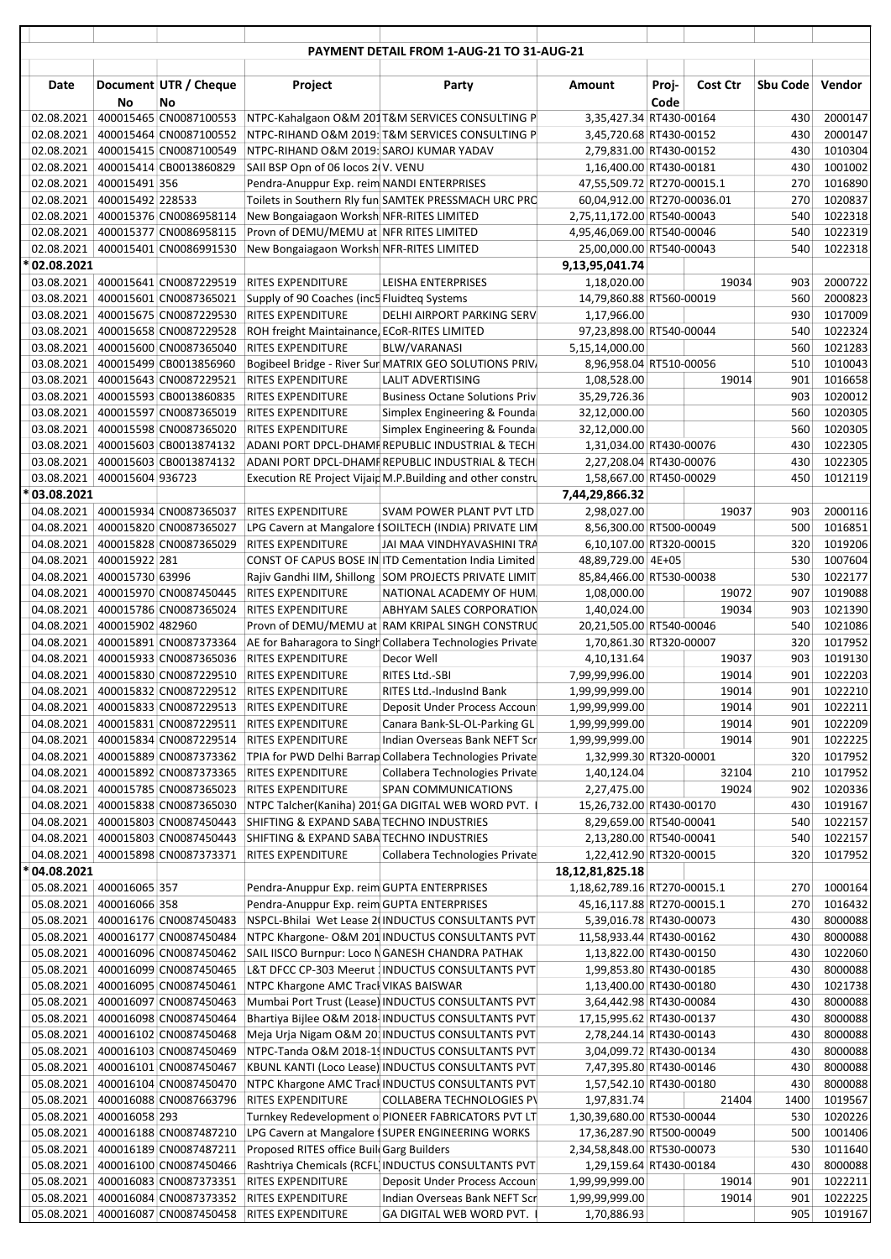|                               |                  |                                                  |                                                                                      | PAYMENT DETAIL FROM 1-AUG-21 TO 31-AUG-21                                                              |                                                        |               |                 |            |                    |
|-------------------------------|------------------|--------------------------------------------------|--------------------------------------------------------------------------------------|--------------------------------------------------------------------------------------------------------|--------------------------------------------------------|---------------|-----------------|------------|--------------------|
|                               |                  |                                                  |                                                                                      |                                                                                                        |                                                        |               |                 |            |                    |
| Date                          | No               | Document UTR / Cheque<br>No                      | Project                                                                              | Party                                                                                                  | Amount                                                 | Proj-<br>Code | <b>Cost Ctr</b> | Sbu Code   | Vendor             |
| 02.08.2021                    |                  |                                                  |                                                                                      | 400015465 CN0087100553 NTPC-Kahalgaon O&M 201T&M SERVICES CONSULTING P                                 | 3,35,427.34 RT430-00164                                |               |                 | 430        | 2000147            |
| 02.08.2021                    |                  | 400015464 CN0087100552                           |                                                                                      | NTPC-RIHAND O&M 2019: T&M SERVICES CONSULTING P                                                        | 3,45,720.68 RT430-00152                                |               |                 | 430        | 2000147            |
| 02.08.2021                    |                  | 400015415 CN0087100549                           | NTPC-RIHAND O&M 2019: SAROJ KUMAR YADAV                                              |                                                                                                        | 2,79,831.00 RT430-00152                                |               |                 | 430        | 1010304            |
| 02.08.2021<br>02.08.2021      | 400015491 356    | 400015414 CB0013860829                           | SAII BSP Opn of 06 locos 2(V. VENU<br>Pendra-Anuppur Exp. reim NANDI ENTERPRISES     |                                                                                                        | 1,16,400.00 RT430-00181<br>47,55,509.72 RT270-00015.1  |               |                 | 430<br>270 | 1001002<br>1016890 |
| 02.08.2021                    | 400015492 228533 |                                                  |                                                                                      | Toilets in Southern Rly fun SAMTEK PRESSMACH URC PRC                                                   | 60,04,912.00 RT270-00036.01                            |               |                 | 270        | 1020837            |
| 02.08.2021                    |                  | 400015376 CN0086958114                           | New Bongaiagaon Worksh NFR-RITES LIMITED                                             |                                                                                                        | 2,75,11,172.00 RT540-00043                             |               |                 | 540        | 1022318            |
| 02.08.2021                    |                  | 400015377 CN0086958115                           | Provn of DEMU/MEMU at NFR RITES LIMITED                                              |                                                                                                        | 4,95,46,069.00 RT540-00046                             |               |                 | 540        | 1022319            |
| 02.08.2021                    |                  | 400015401 CN0086991530                           | New Bongaiagaon Worksh NFR-RITES LIMITED                                             |                                                                                                        | 25,00,000.00 RT540-00043                               |               |                 | 540        | 1022318            |
| * 02.08.2021                  |                  |                                                  |                                                                                      |                                                                                                        | 9,13,95,041.74                                         |               |                 |            |                    |
|                               |                  | 03.08.2021   400015641 CN0087229519              | <b>RITES EXPENDITURE</b>                                                             | LEISHA ENTERPRISES                                                                                     | 1,18,020.00                                            |               | 19034           | 903        | 2000722            |
| 03.08.2021                    |                  | 400015601 CN0087365021                           | Supply of 90 Coaches (inc5 Fluidteg Systems                                          |                                                                                                        | 14,79,860.88 RT560-00019                               |               |                 | 560        | 2000823            |
| 03.08.2021<br>03.08.2021      |                  | 400015675 CN0087229530<br>400015658 CN0087229528 | <b>RITES EXPENDITURE</b><br>ROH freight Maintainance, ECoR-RITES LIMITED             | DELHI AIRPORT PARKING SERV                                                                             | 1,17,966.00<br>97,23,898.00 RT540-00044                |               |                 | 930<br>540 | 1017009<br>1022324 |
| 03.08.2021                    |                  | 400015600 CN0087365040                           | <b>RITES EXPENDITURE</b>                                                             | BLW/VARANASI                                                                                           | 5,15,14,000.00                                         |               |                 | 560        | 1021283            |
| 03.08.2021                    |                  | 400015499 CB0013856960                           |                                                                                      | Bogibeel Bridge - River Sur MATRIX GEO SOLUTIONS PRIV.                                                 | 8,96,958.04 RT510-00056                                |               |                 | 510        | 1010043            |
| 03.08.2021                    |                  | 400015643 CN0087229521                           | <b>RITES EXPENDITURE</b>                                                             | LALIT ADVERTISING                                                                                      | 1,08,528.00                                            |               | 19014           | 901        | 1016658            |
| 03.08.2021                    |                  | 400015593 CB0013860835                           | <b>RITES EXPENDITURE</b>                                                             | <b>Business Octane Solutions Priv</b>                                                                  | 35,29,726.36                                           |               |                 | 903        | 1020012            |
| 03.08.2021                    |                  | 400015597 CN0087365019                           | <b>RITES EXPENDITURE</b>                                                             | Simplex Engineering & Founda                                                                           | 32,12,000.00                                           |               |                 | 560        | 1020305            |
| 03.08.2021                    |                  | 400015598 CN0087365020                           | <b>RITES EXPENDITURE</b>                                                             | Simplex Engineering & Founda                                                                           | 32,12,000.00                                           |               |                 | 560        | 1020305            |
| 03.08.2021                    |                  | 400015603 CB0013874132                           |                                                                                      | ADANI PORT DPCL-DHAMF REPUBLIC INDUSTRIAL & TECH                                                       | 1,31,034.00 RT430-00076                                |               |                 | 430        | 1022305            |
| 03.08.2021                    |                  | 400015603 CB0013874132                           |                                                                                      | ADANI PORT DPCL-DHAMF REPUBLIC INDUSTRIAL & TECH                                                       | 2,27,208.04 RT430-00076                                |               |                 | 430        | 1022305            |
| 03.08.2021   400015604 936723 |                  |                                                  |                                                                                      | Execution RE Project Vijaip M.P.Building and other constru                                             | 1,58,667.00 RT450-00029                                |               |                 | 450        | 1012119            |
| * 03.08.2021                  |                  | 04.08.2021 400015934 CN0087365037                | <b>RITES EXPENDITURE</b>                                                             | SVAM POWER PLANT PVT LTD                                                                               | 7,44,29,866.32<br>2,98,027.00                          |               | 19037           | 903        | 2000116            |
| 04.08.2021                    |                  | 400015820 CN0087365027                           |                                                                                      | LPG Cavern at Mangalore   SOILTECH (INDIA) PRIVATE LIM                                                 | 8,56,300.00 RT500-00049                                |               |                 | 500        | 1016851            |
| 04.08.2021                    |                  | 400015828 CN0087365029                           | <b>RITES EXPENDITURE</b>                                                             | JAI MAA VINDHYAVASHINI TRA                                                                             | 6,10,107.00 RT320-00015                                |               |                 | 320        | 1019206            |
| 04.08.2021                    | 400015922 281    |                                                  |                                                                                      | CONST OF CAPUS BOSE IN ITD Cementation India Limited                                                   | 48,89,729.00 4E+05                                     |               |                 | 530        | 1007604            |
| 04.08.2021                    | 400015730 63996  |                                                  |                                                                                      | Rajiv Gandhi IIM, Shillong SOM PROJECTS PRIVATE LIMIT                                                  | 85,84,466.00 RT530-00038                               |               |                 | 530        | 1022177            |
| 04.08.2021                    |                  | 400015970 CN0087450445                           | <b>RITES EXPENDITURE</b>                                                             | NATIONAL ACADEMY OF HUM                                                                                | 1,08,000.00                                            |               | 19072           | 907        | 1019088            |
| 04.08.2021                    |                  | 400015786 CN0087365024                           | <b>RITES EXPENDITURE</b>                                                             | ABHYAM SALES CORPORATION                                                                               | 1,40,024.00                                            |               | 19034           | 903        | 1021390            |
| 04.08.2021                    | 400015902 482960 |                                                  |                                                                                      | Provn of DEMU/MEMU at RAM KRIPAL SINGH CONSTRUC                                                        | 20,21,505.00 RT540-00046                               |               |                 | 540        | 1021086            |
| 04.08.2021                    |                  | 400015891 CN0087373364                           |                                                                                      | AE for Baharagora to Singh Collabera Technologies Private                                              | 1,70,861.30 RT320-00007                                |               |                 | 320        | 1017952            |
| 04.08.2021                    |                  | 400015933 CN0087365036                           | <b>RITES EXPENDITURE</b><br>04.08.2021   400015830 CN0087229510   RITES EXPENDITURE  | Decor Well<br>RITES Ltd.-SBI                                                                           | 4,10,131.64<br>7,99,99,996.00                          |               | 19037<br>19014  | 903<br>901 | 1019130<br>1022203 |
|                               |                  |                                                  | 04.08.2021 400015832 CN0087229512 RITES EXPENDITURE                                  | RITES Ltd.-IndusInd Bank                                                                               | 1,99,99,999.00                                         |               | 19014           | 901        | 1022210            |
| 04.08.2021                    |                  |                                                  | 400015833 CN0087229513 RITES EXPENDITURE                                             | Deposit Under Process Accoun                                                                           | 1,99,99,999.00                                         |               | 19014           | 901        | 1022211            |
| 04.08.2021                    |                  | 400015831 CN0087229511                           | <b>RITES EXPENDITURE</b>                                                             | Canara Bank-SL-OL-Parking GL                                                                           | 1,99,99,999.00                                         |               | 19014           | 901        | 1022209            |
| 04.08.2021                    |                  | 400015834 CN0087229514                           | <b>RITES EXPENDITURE</b>                                                             | Indian Overseas Bank NEFT Scr                                                                          | 1,99,99,999.00                                         |               | 19014           | 901        | 1022225            |
| 04.08.2021                    |                  | 400015889 CN0087373362                           |                                                                                      | TPIA for PWD Delhi Barrap Collabera Technologies Private                                               | 1,32,999.30 RT320-00001                                |               |                 | 320        | 1017952            |
| 04.08.2021                    |                  | 400015892 CN0087373365                           | <b>RITES EXPENDITURE</b>                                                             | Collabera Technologies Private                                                                         | 1,40,124.04                                            |               | 32104           | 210        | 1017952            |
| 04.08.2021                    |                  | 400015785 CN0087365023                           | <b>RITES EXPENDITURE</b>                                                             | SPAN COMMUNICATIONS                                                                                    | 2,27,475.00                                            |               | 19024           | 902        | 1020336            |
| 04.08.2021<br>04.08.2021      |                  | 400015838 CN0087365030<br>400015803 CN0087450443 |                                                                                      | NTPC Talcher(Kaniha) 201 GA DIGITAL WEB WORD PVT.                                                      | 15,26,732.00 RT430-00170<br>8,29,659.00 RT540-00041    |               |                 | 430        | 1019167<br>1022157 |
| 04.08.2021                    |                  | 400015803 CN0087450443                           | SHIFTING & EXPAND SABA TECHNO INDUSTRIES<br>SHIFTING & EXPAND SABA TECHNO INDUSTRIES |                                                                                                        | 2,13,280.00 RT540-00041                                |               |                 | 540<br>540 | 1022157            |
| 04.08.2021                    |                  | 400015898 CN0087373371                           | <b>RITES EXPENDITURE</b>                                                             | Collabera Technologies Private                                                                         | 1,22,412.90 RT320-00015                                |               |                 | 320        | 1017952            |
| * 04.08.2021                  |                  |                                                  |                                                                                      |                                                                                                        | 18, 12, 81, 825. 18                                    |               |                 |            |                    |
| 05.08.2021                    | 400016065 357    |                                                  | Pendra-Anuppur Exp. reim GUPTA ENTERPRISES                                           |                                                                                                        | 1,18,62,789.16 RT270-00015.1                           |               |                 | 270        | 1000164            |
| 05.08.2021                    | 400016066 358    |                                                  | Pendra-Anuppur Exp. reim GUPTA ENTERPRISES                                           |                                                                                                        | 45,16,117.88 RT270-00015.1                             |               |                 | 270        | 1016432            |
| 05.08.2021                    |                  | 400016176 CN0087450483                           |                                                                                      | NSPCL-Bhilai Wet Lease 2(INDUCTUS CONSULTANTS PVT                                                      | 5,39,016.78 RT430-00073                                |               |                 | 430        | 8000088            |
| 05.08.2021                    |                  | 400016177 CN0087450484                           |                                                                                      | NTPC Khargone- O&M 201 INDUCTUS CONSULTANTS PVT                                                        | 11,58,933.44 RT430-00162                               |               |                 | 430        | 8000088            |
| 05.08.2021                    |                  | 400016096 CN0087450462                           |                                                                                      | SAIL IISCO Burnpur: Loco NGANESH CHANDRA PATHAK                                                        | 1,13,822.00 RT430-00150                                |               |                 | 430        | 1022060            |
| 05.08.2021<br>05.08.2021      |                  | 400016099 CN0087450465<br>400016095 CN0087450461 | NTPC Khargone AMC Track VIKAS BAISWAR                                                | L&T DFCC CP-303 Meerut INDUCTUS CONSULTANTS PVT                                                        | 1,99,853.80 RT430-00185<br>1,13,400.00 RT430-00180     |               |                 | 430<br>430 | 8000088<br>1021738 |
| 05.08.2021                    |                  | 400016097 CN0087450463                           |                                                                                      | Mumbai Port Trust (Lease) INDUCTUS CONSULTANTS PVT                                                     | 3,64,442.98 RT430-00084                                |               |                 | 430        | 8000088            |
| 05.08.2021                    |                  | 400016098 CN0087450464                           |                                                                                      | Bhartiya Bijlee O&M 2018 INDUCTUS CONSULTANTS PVT                                                      | 17,15,995.62 RT430-00137                               |               |                 | 430        | 8000088            |
| 05.08.2021                    |                  | 400016102 CN0087450468                           |                                                                                      | Meja Urja Nigam O&M 201 INDUCTUS CONSULTANTS PVT                                                       | 2,78,244.14 RT430-00143                                |               |                 | 430        | 8000088            |
| 05.08.2021                    |                  | 400016103 CN0087450469                           |                                                                                      | NTPC-Tanda O&M 2018-19 INDUCTUS CONSULTANTS PVT                                                        | 3,04,099.72 RT430-00134                                |               |                 | 430        | 8000088            |
| 05.08.2021                    |                  | 400016101 CN0087450467                           |                                                                                      | KBUNL KANTI (Loco Lease) INDUCTUS CONSULTANTS PVT                                                      | 7,47,395.80 RT430-00146                                |               |                 | 430        | 8000088            |
| 05.08.2021                    |                  | 400016104 CN0087450470                           |                                                                                      | NTPC Khargone AMC Track INDUCTUS CONSULTANTS PVT                                                       | 1,57,542.10 RT430-00180                                |               |                 | 430        | 8000088            |
| 05.08.2021                    |                  | 400016088 CN0087663796                           | <b>RITES EXPENDITURE</b>                                                             | <b>COLLABERA TECHNOLOGIES PV</b>                                                                       | 1,97,831.74                                            |               | 21404           | 1400       | 1019567            |
| 05.08.2021<br>05.08.2021      | 400016058 293    | 400016188 CN0087487210                           |                                                                                      | Turnkey Redevelopment o PIONEER FABRICATORS PVT LT<br>LPG Cavern at Mangalore 1SUPER ENGINEERING WORKS | 1,30,39,680.00 RT530-00044<br>17,36,287.90 RT500-00049 |               |                 | 530<br>500 | 1020226<br>1001406 |
| 05.08.2021                    |                  | 400016189 CN0087487211                           | Proposed RITES office Buil Garg Builders                                             |                                                                                                        | 2,34,58,848.00 RT530-00073                             |               |                 | 530        | 1011640            |
| 05.08.2021                    |                  | 400016100 CN0087450466                           |                                                                                      | Rashtriya Chemicals (RCFL) INDUCTUS CONSULTANTS PVT                                                    | 1,29,159.64 RT430-00184                                |               |                 | 430        | 8000088            |
| 05.08.2021                    |                  | 400016083 CN0087373351                           | <b>RITES EXPENDITURE</b>                                                             | Deposit Under Process Accoun                                                                           | 1,99,99,999.00                                         |               | 19014           | 901        | 1022211            |
| 05.08.2021                    |                  | 400016084 CN0087373352                           | <b>RITES EXPENDITURE</b>                                                             | Indian Overseas Bank NEFT Scr                                                                          | 1,99,99,999.00                                         |               | 19014           | 901        | 1022225            |
| 05.08.2021                    |                  | 400016087 CN0087450458                           | <b>RITES EXPENDITURE</b>                                                             | GA DIGITAL WEB WORD PVT.                                                                               | 1,70,886.93                                            |               |                 | 905        | 1019167            |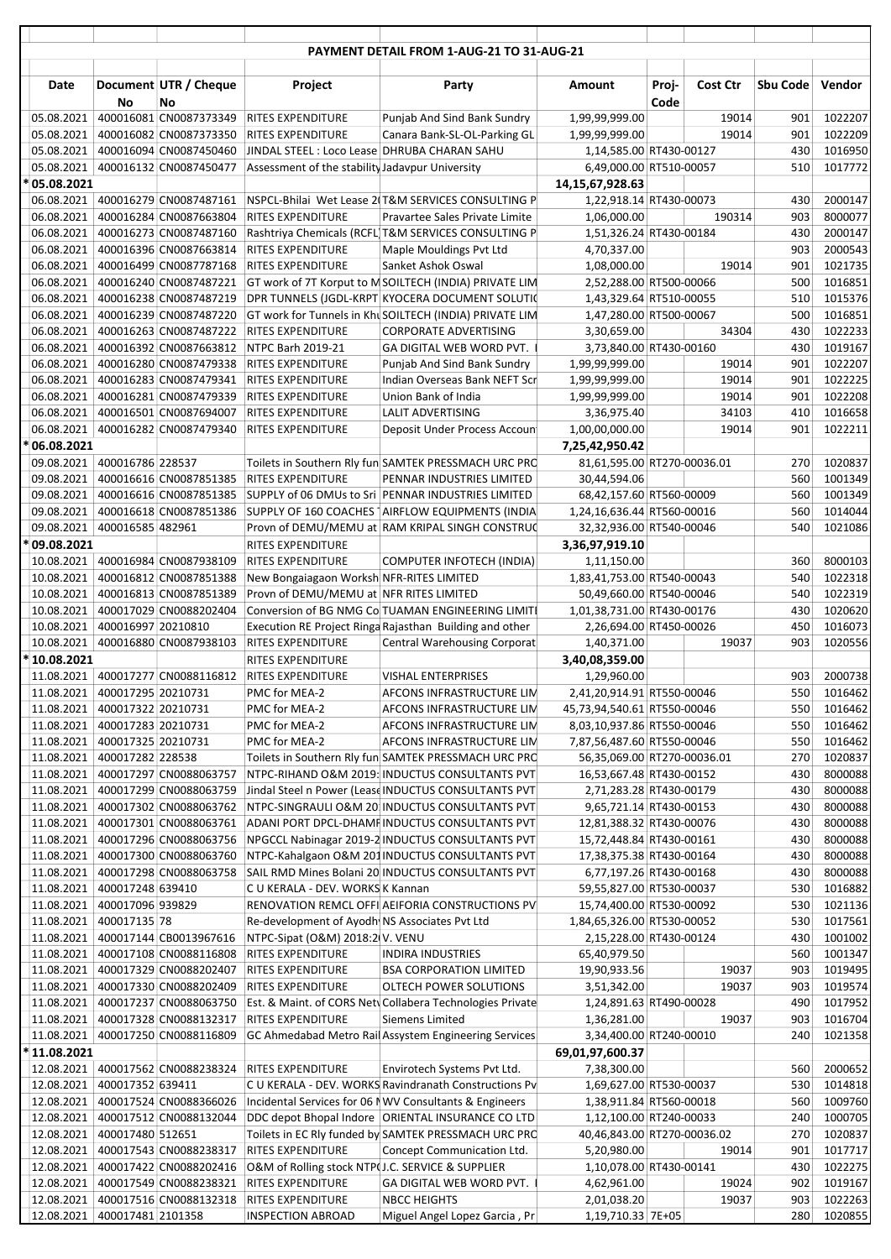|                                           |                                      |                                                  |                                                      | PAYMENT DETAIL FROM 1-AUG-21 TO 31-AUG-21                                                                  |                                                         |       |                |            |                    |
|-------------------------------------------|--------------------------------------|--------------------------------------------------|------------------------------------------------------|------------------------------------------------------------------------------------------------------------|---------------------------------------------------------|-------|----------------|------------|--------------------|
| Date                                      |                                      | Document UTR / Cheque                            | Project                                              | Party                                                                                                      | Amount                                                  | Proj- | Cost Ctr       | Sbu Code   | Vendor             |
|                                           | No                                   | No                                               |                                                      |                                                                                                            |                                                         | Code  |                |            |                    |
| 05.08.2021                                |                                      | 400016081 CN0087373349                           | <b>RITES EXPENDITURE</b>                             | Punjab And Sind Bank Sundry                                                                                | 1,99,99,999.00                                          |       | 19014          | 901        | 1022207            |
| 05.08.2021                                |                                      | 400016082 CN0087373350                           | <b>RITES EXPENDITURE</b>                             | Canara Bank-SL-OL-Parking GL                                                                               | 1,99,99,999.00                                          |       | 19014          | 901        | 1022209            |
| 05.08.2021                                |                                      | 400016094 CN0087450460<br>400016132 CN0087450477 | JINDAL STEEL : Loco Lease DHRUBA CHARAN SAHU         |                                                                                                            | 1,14,585.00 RT430-00127                                 |       |                | 430        | 1016950            |
| 05.08.2021<br>* 05.08.2021                |                                      |                                                  | Assessment of the stability Jadavpur University      |                                                                                                            | 6,49,000.00 RT510-00057<br>14,15,67,928.63              |       |                | 510        | 1017772            |
|                                           |                                      | 06.08.2021   400016279 CN0087487161              |                                                      | NSPCL-Bhilai Wet Lease 2(T&M SERVICES CONSULTING P                                                         | 1,22,918.14 RT430-00073                                 |       |                | 430        | 2000147            |
| 06.08.2021                                |                                      | 400016284 CN0087663804                           | <b>RITES EXPENDITURE</b>                             | Pravartee Sales Private Limite                                                                             | 1,06,000.00                                             |       | 190314         | 903        | 8000077            |
| 06.08.2021                                |                                      | 400016273 CN0087487160                           |                                                      | Rashtriya Chemicals (RCFL)T&M SERVICES CONSULTING P                                                        | 1,51,326.24 RT430-00184                                 |       |                | 430        | 2000147            |
| 06.08.2021                                |                                      | 400016396 CN0087663814                           | <b>RITES EXPENDITURE</b>                             | Maple Mouldings Pvt Ltd                                                                                    | 4,70,337.00                                             |       |                | 903        | 2000543            |
| 06.08.2021<br>06.08.2021                  |                                      | 400016499 CN0087787168<br>400016240 CN0087487221 | <b>RITES EXPENDITURE</b>                             | Sanket Ashok Oswal                                                                                         | 1,08,000.00                                             |       | 19014          | 901<br>500 | 1021735<br>1016851 |
|                                           |                                      | 06.08.2021   400016238 CN0087487219              |                                                      | GT work of 7T Korput to M SOILTECH (INDIA) PRIVATE LIM<br>DPR TUNNELS (JGDL-KRPT KYOCERA DOCUMENT SOLUTION | 2,52,288.00 RT500-00066<br>1,43,329.64 RT510-00055      |       |                | 510        | 1015376            |
| 06.08.2021                                |                                      | 400016239 CN0087487220                           |                                                      | GT work for Tunnels in Khu SOILTECH (INDIA) PRIVATE LIM                                                    | 1,47,280.00 RT500-00067                                 |       |                | 500        | 1016851            |
| 06.08.2021                                |                                      | 400016263 CN0087487222                           | <b>RITES EXPENDITURE</b>                             | <b>CORPORATE ADVERTISING</b>                                                                               | 3,30,659.00                                             |       | 34304          | 430        | 1022233            |
| 06.08.2021                                |                                      | 400016392 CN0087663812                           | NTPC Barh 2019-21                                    | GA DIGITAL WEB WORD PVT.                                                                                   | 3,73,840.00 RT430-00160                                 |       |                | 430        | 1019167            |
| 06.08.2021                                |                                      | 400016280 CN0087479338                           | <b>RITES EXPENDITURE</b>                             | Punjab And Sind Bank Sundry                                                                                | 1,99,99,999.00                                          |       | 19014          | 901        | 1022207            |
| 06.08.2021                                |                                      | 400016283 CN0087479341                           | <b>RITES EXPENDITURE</b>                             | Indian Overseas Bank NEFT Scr                                                                              | 1,99,99,999.00                                          |       | 19014          | 901        | 1022225            |
| 06.08.2021<br>06.08.2021                  |                                      | 400016281 CN0087479339<br>400016501 CN0087694007 | <b>RITES EXPENDITURE</b><br><b>RITES EXPENDITURE</b> | Union Bank of India<br><b>LALIT ADVERTISING</b>                                                            | 1,99,99,999.00<br>3,36,975.40                           |       | 19014<br>34103 | 901<br>410 | 1022208<br>1016658 |
| 06.08.2021                                |                                      | 400016282 CN0087479340                           | <b>RITES EXPENDITURE</b>                             | Deposit Under Process Accoun                                                                               | 1,00,00,000.00                                          |       | 19014          | 901        | 1022211            |
| * 06.08.2021                              |                                      |                                                  |                                                      |                                                                                                            | 7,25,42,950.42                                          |       |                |            |                    |
| 09.08.2021                                | 400016786 228537                     |                                                  |                                                      | Toilets in Southern Rly fun SAMTEK PRESSMACH URC PRO                                                       | 81,61,595.00 RT270-00036.01                             |       |                | 270        | 1020837            |
| 09.08.2021                                |                                      | 400016616 CN0087851385                           | <b>RITES EXPENDITURE</b>                             | PENNAR INDUSTRIES LIMITED                                                                                  | 30,44,594.06                                            |       |                | 560        | 1001349            |
| 09.08.2021                                |                                      | 400016616 CN0087851385                           |                                                      | SUPPLY of 06 DMUs to Sri PENNAR INDUSTRIES LIMITED                                                         | 68,42,157.60 RT560-00009                                |       |                | 560        | 1001349            |
| 09.08.2021                                |                                      | 400016618 CN0087851386                           |                                                      | SUPPLY OF 160 COACHES   AIRFLOW EQUIPMENTS (INDIA                                                          | 1,24,16,636.44 RT560-00016                              |       |                | 560        | 1014044            |
| 09.08.2021<br>* 09.08.2021                | 400016585 482961                     |                                                  | <b>RITES EXPENDITURE</b>                             | Provn of DEMU/MEMU at RAM KRIPAL SINGH CONSTRUC                                                            | 32,32,936.00 RT540-00046<br>3,36,97,919.10              |       |                | 540        | 1021086            |
| 10.08.2021                                |                                      | 400016984 CN0087938109                           | <b>RITES EXPENDITURE</b>                             | COMPUTER INFOTECH (INDIA)                                                                                  | 1,11,150.00                                             |       |                | 360        | 8000103            |
|                                           |                                      | 10.08.2021   400016812 CN0087851388              | New Bongaiagaon Worksh NFR-RITES LIMITED             |                                                                                                            | 1,83,41,753.00 RT540-00043                              |       |                | 540        | 1022318            |
| 10.08.2021                                |                                      | 400016813 CN0087851389                           | Provn of DEMU/MEMU at NFR RITES LIMITED              |                                                                                                            | 50,49,660.00 RT540-00046                                |       |                | 540        | 1022319            |
| 10.08.2021                                |                                      | 400017029 CN0088202404                           |                                                      | Conversion of BG NMG Co TUAMAN ENGINEERING LIMITI                                                          | 1,01,38,731.00 RT430-00176                              |       |                | 430        | 1020620            |
| 10.08.2021                                | 400016997 20210810                   |                                                  |                                                      | Execution RE Project Ringa Rajasthan Building and other                                                    | 2,26,694.00 RT450-00026                                 |       |                | 450        | 1016073            |
| 10.08.2021<br>* 10.08.2021                |                                      | 400016880 CN0087938103                           | <b>RITES EXPENDITURE</b><br>RITES EXPENDITURE        | <b>Central Warehousing Corporat</b>                                                                        | 1,40,371.00<br>3,40,08,359.00                           |       | 19037          | 903        | 1020556            |
|                                           |                                      | 11.08.2021   400017277 CN0088116812              | <b>RITES EXPENDITURE</b>                             | <b>VISHAL ENTERPRISES</b>                                                                                  | 1,29,960.00                                             |       |                | 903        | 2000738            |
| 11.08.2021 400017295 20210731             |                                      |                                                  | PMC for MEA-2                                        | AFCONS INFRASTRUCTURE LIM                                                                                  | 2,41,20,914.91 RT550-00046                              |       |                |            | 550 1016462        |
| 11.08.2021                                | 400017322 20210731                   |                                                  | PMC for MEA-2                                        | AFCONS INFRASTRUCTURE LIM                                                                                  | 45,73,94,540.61 RT550-00046                             |       |                | 550        | 1016462            |
| 11.08.2021                                | 400017283 20210731                   |                                                  | PMC for MEA-2                                        | AFCONS INFRASTRUCTURE LIM                                                                                  | 8,03,10,937.86 RT550-00046                              |       |                | 550        | 1016462            |
| 11.08.2021                                | 400017325 20210731                   |                                                  | PMC for MEA-2                                        | AFCONS INFRASTRUCTURE LIM                                                                                  | 7,87,56,487.60 RT550-00046                              |       |                | 550        | 1016462            |
| 11.08.2021<br>11.08.2021                  | 400017282 228538                     | 400017297 CN0088063757                           |                                                      | Toilets in Southern Rly fun SAMTEK PRESSMACH URC PRO<br>NTPC-RIHAND O&M 2019: INDUCTUS CONSULTANTS PVT     | 56,35,069.00 RT270-00036.01<br>16,53,667.48 RT430-00152 |       |                | 270<br>430 | 1020837<br>8000088 |
| 11.08.2021                                |                                      | 400017299 CN0088063759                           |                                                      | Jindal Steel n Power (Lease INDUCTUS CONSULTANTS PVT                                                       | 2,71,283.28 RT430-00179                                 |       |                | 430        | 8000088            |
| 11.08.2021                                |                                      | 400017302 CN0088063762                           |                                                      | NTPC-SINGRAULI O&M 20 INDUCTUS CONSULTANTS PVT                                                             | 9,65,721.14 RT430-00153                                 |       |                | 430        | 8000088            |
| 11.08.2021                                |                                      | 400017301 CN0088063761                           |                                                      | ADANI PORT DPCL-DHAMF INDUCTUS CONSULTANTS PVT                                                             | 12,81,388.32 RT430-00076                                |       |                | 430        | 8000088            |
| 11.08.2021                                |                                      | 400017296 CN0088063756                           |                                                      | NPGCCL Nabinagar 2019-2 INDUCTUS CONSULTANTS PVT                                                           | 15,72,448.84 RT430-00161                                |       |                | 430        | 8000088            |
|                                           |                                      | 11.08.2021   400017300 CN0088063760              |                                                      | NTPC-Kahalgaon O&M 201 INDUCTUS CONSULTANTS PVT                                                            | 17,38,375.38 RT430-00164                                |       |                | 430        | 8000088            |
|                                           |                                      | 11.08.2021 400017298 CN0088063758                |                                                      | SAIL RMD Mines Bolani 20 INDUCTUS CONSULTANTS PVT                                                          | 6,77,197.26 RT430-00168                                 |       |                | 430        | 8000088            |
| 11.08.2021<br>11.08.2021                  | 400017248 639410<br>400017096 939829 |                                                  | C U KERALA - DEV. WORKS K Kannan                     | RENOVATION REMCL OFFI AEIFORIA CONSTRUCTIONS PV                                                            | 59,55,827.00 RT530-00037<br>15,74,400.00 RT530-00092    |       |                | 530<br>530 | 1016882<br>1021136 |
| 11.08.2021                                | 400017135 78                         |                                                  | Re-development of Ayodh NS Associates Pvt Ltd        |                                                                                                            | 1,84,65,326.00 RT530-00052                              |       |                | 530        | 1017561            |
| 11.08.2021                                |                                      | 400017144 CB0013967616                           | NTPC-Sipat (O&M) 2018:2(V. VENU                      |                                                                                                            | 2,15,228.00 RT430-00124                                 |       |                | 430        | 1001002            |
|                                           |                                      | 11.08.2021   400017108 CN0088116808              | <b>RITES EXPENDITURE</b>                             | INDIRA INDUSTRIES                                                                                          | 65,40,979.50                                            |       |                | 560        | 1001347            |
|                                           |                                      | 11.08.2021 400017329 CN0088202407                | <b>RITES EXPENDITURE</b>                             | <b>BSA CORPORATION LIMITED</b>                                                                             | 19,90,933.56                                            |       | 19037          | 903        | 1019495            |
| 11.08.2021                                |                                      | 400017330 CN0088202409                           | RITES EXPENDITURE                                    | OLTECH POWER SOLUTIONS                                                                                     | 3,51,342.00                                             |       | 19037          | 903        | 1019574            |
| 11.08.2021<br>11.08.2021                  |                                      | 400017237 CN0088063750<br>400017328 CN0088132317 | RITES EXPENDITURE                                    | Est. & Maint. of CORS Netv Collabera Technologies Private<br>Siemens Limited                               | 1,24,891.63 RT490-00028<br>1,36,281.00                  |       | 19037          | 490<br>903 | 1017952<br>1016704 |
| 11.08.2021                                |                                      | 400017250 CN0088116809                           |                                                      | GC Ahmedabad Metro Rail Assystem Engineering Services                                                      | 3,34,400.00 RT240-00010                                 |       |                | 240        | 1021358            |
| * 11.08.2021                              |                                      |                                                  |                                                      |                                                                                                            | 69,01,97,600.37                                         |       |                |            |                    |
|                                           |                                      | 12.08.2021 400017562 CN0088238324                | <b>RITES EXPENDITURE</b>                             | Envirotech Systems Pvt Ltd.                                                                                | 7,38,300.00                                             |       |                | 560        | 2000652            |
| 12.08.2021                                | 400017352 639411                     |                                                  |                                                      | C U KERALA - DEV. WORKS Ravindranath Constructions Pv                                                      | 1,69,627.00 RT530-00037                                 |       |                | 530        | 1014818            |
| 12.08.2021                                |                                      | 400017524 CN0088366026                           |                                                      | Incidental Services for 06 NWV Consultants & Engineers                                                     | 1,38,911.84 RT560-00018                                 |       |                | 560        | 1009760            |
| 12.08.2021<br>12.08.2021 400017480 512651 |                                      | 400017512 CN0088132044                           |                                                      | DDC depot Bhopal Indore ORIENTAL INSURANCE CO LTD                                                          | 1,12,100.00 RT240-00033                                 |       |                | 240<br>270 | 1000705            |
|                                           |                                      | 12.08.2021 400017543 CN0088238317                | <b>RITES EXPENDITURE</b>                             | Toilets in EC Rly funded by SAMTEK PRESSMACH URC PRO<br>Concept Communication Ltd.                         | 40,46,843.00 RT270-00036.02<br>5,20,980.00              |       | 19014          | 901        | 1020837<br>1017717 |
| 12.08.2021                                |                                      | 400017422 CN0088202416                           | O&M of Rolling stock NTP(J.C. SERVICE & SUPPLIER     |                                                                                                            | 1,10,078.00 RT430-00141                                 |       |                | 430        | 1022275            |
| 12.08.2021                                |                                      | 400017549 CN0088238321                           | RITES EXPENDITURE                                    | GA DIGITAL WEB WORD PVT.                                                                                   | 4,62,961.00                                             |       | 19024          | 902        | 1019167            |
| 12.08.2021                                |                                      | 400017516 CN0088132318                           | <b>RITES EXPENDITURE</b>                             | <b>NBCC HEIGHTS</b>                                                                                        | 2,01,038.20                                             |       | 19037          | 903        | 1022263            |
| 12.08.2021 400017481 2101358              |                                      |                                                  | <b>INSPECTION ABROAD</b>                             | Miguel Angel Lopez Garcia, Pr                                                                              | 1,19,710.33 7E+05                                       |       |                | 280        | 1020855            |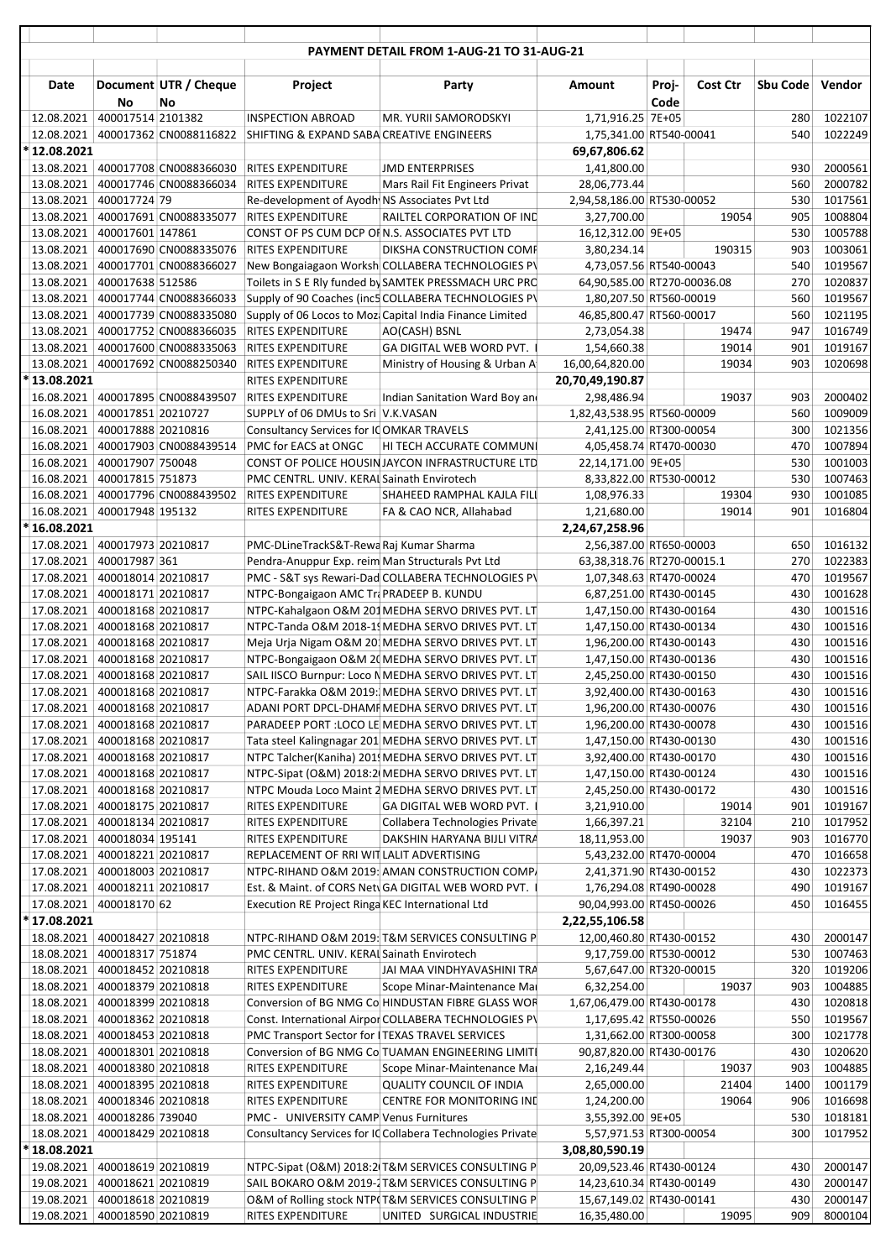|                                                                  |                   |                                                  |                                                                                             | PAYMENT DETAIL FROM 1-AUG-21 TO 31-AUG-21                                                                    |                                                       |               |                |            |                    |
|------------------------------------------------------------------|-------------------|--------------------------------------------------|---------------------------------------------------------------------------------------------|--------------------------------------------------------------------------------------------------------------|-------------------------------------------------------|---------------|----------------|------------|--------------------|
|                                                                  |                   |                                                  |                                                                                             |                                                                                                              |                                                       |               |                |            |                    |
| Date                                                             | No                | Document UTR / Cheque<br>No                      | Project                                                                                     | Party                                                                                                        | Amount                                                | Proj-<br>Code | Cost Ctr       | Sbu Code   | Vendor             |
| 12.08.2021                                                       | 400017514 2101382 |                                                  | <b>INSPECTION ABROAD</b>                                                                    | MR. YURII SAMORODSKYI                                                                                        | 1,71,916.25 7E+05                                     |               |                | 280        | 1022107            |
| 12.08.2021<br>*12.08.2021                                        |                   | 400017362 CN0088116822                           | SHIFTING & EXPAND SABA CREATIVE ENGINEERS                                                   |                                                                                                              | 1,75,341.00 RT540-00041<br>69,67,806.62               |               |                | 540        | 1022249            |
|                                                                  |                   | 13.08.2021   400017708 CN0088366030              | <b>RITES EXPENDITURE</b>                                                                    | <b>JMD ENTERPRISES</b>                                                                                       | 1,41,800.00                                           |               |                | 930        | 2000561            |
| 13.08.2021                                                       |                   | 400017746 CN0088366034                           | <b>RITES EXPENDITURE</b>                                                                    | Mars Rail Fit Engineers Privat                                                                               | 28,06,773.44                                          |               |                | 560        | 2000782            |
| 13.08.2021 400017724 79                                          |                   |                                                  | Re-development of Ayodh NS Associates Pvt Ltd                                               |                                                                                                              | 2,94,58,186.00 RT530-00052                            |               |                | 530        | 1017561            |
|                                                                  |                   | 13.08.2021   400017691 CN0088335077              | <b>RITES EXPENDITURE</b>                                                                    | RAILTEL CORPORATION OF IND                                                                                   | 3,27,700.00                                           |               | 19054          | 905        | 1008804            |
| 13.08.2021                                                       | 400017601 147861  | 13.08.2021   400017690 CN0088335076              | CONST OF PS CUM DCP OF N.S. ASSOCIATES PVT LTD<br><b>RITES EXPENDITURE</b>                  | DIKSHA CONSTRUCTION COMF                                                                                     | 16,12,312.00 9E+05<br>3,80,234.14                     |               | 190315         | 530<br>903 | 1005788<br>1003061 |
| 13.08.2021                                                       |                   | 400017701 CN0088366027                           |                                                                                             | New Bongaiagaon Worksh COLLABERA TECHNOLOGIES PV                                                             | 4,73,057.56 RT540-00043                               |               |                | 540        | 1019567            |
| 13.08.2021 400017638 512586                                      |                   |                                                  |                                                                                             | Toilets in S E Rly funded by SAMTEK PRESSMACH URC PRC                                                        | 64,90,585.00 RT270-00036.08                           |               |                | 270        | 1020837            |
|                                                                  |                   | 13.08.2021 400017744 CN0088366033                |                                                                                             | Supply of 90 Coaches (inc5 COLLABERA TECHNOLOGIES PV                                                         | 1,80,207.50 RT560-00019                               |               |                | 560        | 1019567            |
| 13.08.2021                                                       |                   | 400017739 CN0088335080                           |                                                                                             | Supply of 06 Locos to Moz Capital India Finance Limited                                                      | 46,85,800.47 RT560-00017                              |               |                | 560        | 1021195            |
| 13.08.2021<br>13.08.2021                                         |                   | 400017752 CN0088366035<br>400017600 CN0088335063 | <b>RITES EXPENDITURE</b><br>RITES EXPENDITURE                                               | AO(CASH) BSNL<br>GA DIGITAL WEB WORD PVT.                                                                    | 2,73,054.38<br>1,54,660.38                            |               | 19474<br>19014 | 947<br>901 | 1016749<br>1019167 |
| 13.08.2021                                                       |                   | 400017692 CN0088250340                           | <b>RITES EXPENDITURE</b>                                                                    | Ministry of Housing & Urban A                                                                                | 16,00,64,820.00                                       |               | 19034          | 903        | 1020698            |
| *13.08.2021                                                      |                   |                                                  | <b>RITES EXPENDITURE</b>                                                                    |                                                                                                              | 20,70,49,190.87                                       |               |                |            |                    |
|                                                                  |                   | 16.08.2021   400017895 CN0088439507              | <b>RITES EXPENDITURE</b>                                                                    | Indian Sanitation Ward Boy and                                                                               | 2,98,486.94                                           |               | 19037          | 903        | 2000402            |
| 16.08.2021 400017851 20210727                                    |                   |                                                  | SUPPLY of 06 DMUs to Sri V.K.VASAN                                                          |                                                                                                              | 1,82,43,538.95 RT560-00009                            |               |                | 560        | 1009009            |
| 16.08.2021 400017888 20210816                                    |                   |                                                  | Consultancy Services for ICOMKAR TRAVELS                                                    |                                                                                                              | 2,41,125.00 RT300-00054                               |               |                | 300        | 1021356            |
| 16.08.2021<br>16.08.2021                                         | 400017907 750048  | 400017903 CN0088439514                           | PMC for EACS at ONGC                                                                        | HI TECH ACCURATE COMMUNI<br>CONST OF POLICE HOUSIN JAYCON INFRASTRUCTURE LTD                                 | 4,05,458.74 RT470-00030<br>22,14,171.00 9E+05         |               |                | 470<br>530 | 1007894<br>1001003 |
| 16.08.2021 400017815 751873                                      |                   |                                                  | PMC CENTRL. UNIV. KERAL Sainath Envirotech                                                  |                                                                                                              | 8,33,822.00 RT530-00012                               |               |                | 530        | 1007463            |
|                                                                  |                   | 16.08.2021 400017796 CN0088439502                | <b>RITES EXPENDITURE</b>                                                                    | SHAHEED RAMPHAL KAJLA FILI                                                                                   | 1,08,976.33                                           |               | 19304          | 930        | 1001085            |
| 16.08.2021                                                       | 400017948 195132  |                                                  | RITES EXPENDITURE                                                                           | FA & CAO NCR, Allahabad                                                                                      | 1,21,680.00                                           |               | 19014          | 901        | 1016804            |
| *16.08.2021                                                      |                   |                                                  |                                                                                             |                                                                                                              | 2,24,67,258.96                                        |               |                |            |                    |
| 17.08.2021 400017973 20210817<br>17.08.2021   400017987 361      |                   |                                                  | PMC-DLineTrackS&T-Rewa Raj Kumar Sharma<br>Pendra-Anuppur Exp. reim Man Structurals Pvt Ltd |                                                                                                              | 2,56,387.00 RT650-00003<br>63,38,318.76 RT270-00015.1 |               |                | 650<br>270 | 1016132<br>1022383 |
| 17.08.2021 400018014 20210817                                    |                   |                                                  |                                                                                             | PMC - S&T sys Rewari-Dad COLLABERA TECHNOLOGIES PV                                                           | 1,07,348.63 RT470-00024                               |               |                | 470        | 1019567            |
| 17.08.2021 400018171 20210817                                    |                   |                                                  | NTPC-Bongaigaon AMC TraPRADEEP B. KUNDU                                                     |                                                                                                              | 6,87,251.00 RT430-00145                               |               |                | 430        | 1001628            |
| 17.08.2021 400018168 20210817                                    |                   |                                                  |                                                                                             | NTPC-Kahalgaon O&M 201 MEDHA SERVO DRIVES PVT. LT                                                            | 1,47,150.00 RT430-00164                               |               |                | 430        | 1001516            |
| 17.08.2021 400018168 20210817                                    |                   |                                                  |                                                                                             | NTPC-Tanda O&M 2018-1! MEDHA SERVO DRIVES PVT. LT                                                            | 1,47,150.00 RT430-00134                               |               |                | 430        | 1001516            |
| 17.08.2021 400018168 20210817<br>17.08.2021 400018168 20210817   |                   |                                                  |                                                                                             | Meja Urja Nigam O&M 201 MEDHA SERVO DRIVES PVT. LT<br>NTPC-Bongaigaon O&M 20 MEDHA SERVO DRIVES PVT. LT      | 1,96,200.00 RT430-00143<br>1,47,150.00 RT430-00136    |               |                | 430<br>430 | 1001516<br>1001516 |
| 17.08.2021   400018168   20210817                                |                   |                                                  |                                                                                             | SAIL IISCO Burnpur: Loco N MEDHA SERVO DRIVES PVT. LT                                                        | 2,45,250.00 RT430-00150                               |               |                | 430        | 1001516            |
| 17.08.2021 400018168 20210817                                    |                   |                                                  |                                                                                             | NTPC-Farakka O&M 2019: MEDHA SERVO DRIVES PVT. LT                                                            | 3,92,400.00 RT430-00163                               |               |                | 430        | 1001516            |
| 17.08.2021   400018168   20210817                                |                   |                                                  |                                                                                             | ADANI PORT DPCL-DHAMF MEDHA SERVO DRIVES PVT. LT                                                             | 1,96,200.00 RT430-00076                               |               |                | 430        | 1001516            |
| 17.08.2021 400018168 20210817                                    |                   |                                                  |                                                                                             | PARADEEP PORT : LOCO LE MEDHA SERVO DRIVES PVT. LT                                                           | 1,96,200.00 RT430-00078                               |               |                | 430        | 1001516            |
| 17.08.2021 400018168 20210817<br>17.08.2021 400018168 20210817   |                   |                                                  |                                                                                             | Tata steel Kalingnagar 201 MEDHA SERVO DRIVES PVT. LT<br>NTPC Talcher(Kaniha) 201 MEDHA SERVO DRIVES PVT. LT | 1,47,150.00 RT430-00130<br>3,92,400.00 RT430-00170    |               |                | 430<br>430 | 1001516<br>1001516 |
| 17.08.2021 400018168 20210817                                    |                   |                                                  |                                                                                             | NTPC-Sipat (O&M) 2018:2 MEDHA SERVO DRIVES PVT. LT                                                           | 1,47,150.00 RT430-00124                               |               |                | 430        | 1001516            |
| 17.08.2021 400018168 20210817                                    |                   |                                                  |                                                                                             | NTPC Mouda Loco Maint 2 MEDHA SERVO DRIVES PVT. LT                                                           | 2,45,250.00 RT430-00172                               |               |                | 430        | 1001516            |
| 17.08.2021 400018175 20210817                                    |                   |                                                  | RITES EXPENDITURE                                                                           | GA DIGITAL WEB WORD PVT.                                                                                     | 3,21,910.00                                           |               | 19014          | 901        | 1019167            |
| 17.08.2021 400018134 20210817                                    |                   |                                                  | RITES EXPENDITURE                                                                           | Collabera Technologies Private                                                                               | 1,66,397.21                                           |               | 32104          | 210        | 1017952            |
| 17.08.2021 400018034 195141                                      |                   |                                                  | RITES EXPENDITURE                                                                           | DAKSHIN HARYANA BIJLI VITRA                                                                                  | 18,11,953.00                                          |               | 19037          | 903        | 1016770            |
| 17.08.2021 400018221 20210817<br>17.08.2021 400018003 20210817   |                   |                                                  | REPLACEMENT OF RRI WIT LALIT ADVERTISING                                                    | NTPC-RIHAND O&M 2019: AMAN CONSTRUCTION COMP.                                                                | 5,43,232.00 RT470-00004<br>2,41,371.90 RT430-00152    |               |                | 470<br>430 | 1016658<br>1022373 |
| 17.08.2021 400018211 20210817                                    |                   |                                                  |                                                                                             | Est. & Maint. of CORS NetvGA DIGITAL WEB WORD PVT.                                                           | 1,76,294.08 RT490-00028                               |               |                | 490        | 1019167            |
| 17.08.2021 400018170 62                                          |                   |                                                  | Execution RE Project Ringa KEC International Ltd                                            |                                                                                                              | 90,04,993.00 RT450-00026                              |               |                | 450        | 1016455            |
| *17.08.2021                                                      |                   |                                                  |                                                                                             |                                                                                                              | 2,22,55,106.58                                        |               |                |            |                    |
| 18.08.2021 400018427 20210818                                    |                   |                                                  |                                                                                             | NTPC-RIHAND O&M 2019: T&M SERVICES CONSULTING P                                                              | 12,00,460.80 RT430-00152                              |               |                | 430        | 2000147            |
| 18.08.2021   400018317   751874<br>18.08.2021 400018452 20210818 |                   |                                                  | PMC CENTRL. UNIV. KERAL Sainath Envirotech<br>RITES EXPENDITURE                             | JAI MAA VINDHYAVASHINI TRA                                                                                   | 9,17,759.00 RT530-00012<br>5,67,647.00 RT320-00015    |               |                | 530<br>320 | 1007463<br>1019206 |
| 18.08.2021 400018379 20210818                                    |                   |                                                  | RITES EXPENDITURE                                                                           | Scope Minar-Maintenance Mai                                                                                  | 6,32,254.00                                           |               | 19037          | 903        | 1004885            |
| 18.08.2021 400018399 20210818                                    |                   |                                                  |                                                                                             | Conversion of BG NMG Co HINDUSTAN FIBRE GLASS WOR                                                            | 1,67,06,479.00 RT430-00178                            |               |                | 430        | 1020818            |
| 18.08.2021 400018362 20210818                                    |                   |                                                  |                                                                                             | Const. International Airpor COLLABERA TECHNOLOGIES PV                                                        | 1,17,695.42 RT550-00026                               |               |                | 550        | 1019567            |
| 18.08.2021 400018453 20210818                                    |                   |                                                  | PMC Transport Sector for ITEXAS TRAVEL SERVICES                                             |                                                                                                              | 1,31,662.00 RT300-00058                               |               |                | 300        | 1021778            |
| 18.08.2021 400018301 20210818<br>18.08.2021 400018380 20210818   |                   |                                                  | RITES EXPENDITURE                                                                           | Conversion of BG NMG Co TUAMAN ENGINEERING LIMITI<br>Scope Minar-Maintenance Mai                             | 90,87,820.00 RT430-00176<br>2,16,249.44               |               | 19037          | 430<br>903 | 1020620<br>1004885 |
| 18.08.2021 400018395 20210818                                    |                   |                                                  | RITES EXPENDITURE                                                                           | <b>QUALITY COUNCIL OF INDIA</b>                                                                              | 2,65,000.00                                           |               | 21404          | 1400       | 1001179            |
| 18.08.2021 400018346 20210818                                    |                   |                                                  | RITES EXPENDITURE                                                                           | CENTRE FOR MONITORING IND                                                                                    | 1,24,200.00                                           |               | 19064          | 906        | 1016698            |
| 18.08.2021 400018286 739040                                      |                   |                                                  | PMC - UNIVERSITY CAMP Venus Furnitures                                                      |                                                                                                              | 3,55,392.00 9E+05                                     |               |                | 530        | 1018181            |
| 18.08.2021 400018429 20210818                                    |                   |                                                  |                                                                                             | Consultancy Services for IC Collabera Technologies Private                                                   | 5,57,971.53 RT300-00054                               |               |                | 300        | 1017952            |
| * 18.08.2021<br>19.08.2021 400018619 20210819                    |                   |                                                  |                                                                                             | NTPC-Sipat (O&M) 2018:2(T&M SERVICES CONSULTING P                                                            | 3,08,80,590.19<br>20,09,523.46 RT430-00124            |               |                | 430        | 2000147            |
| 19.08.2021 400018621 20210819                                    |                   |                                                  |                                                                                             | SAIL BOKARO O&M 2019-1T&M SERVICES CONSULTING P                                                              | 14,23,610.34 RT430-00149                              |               |                | 430        | 2000147            |
| 19.08.2021 400018618 20210819                                    |                   |                                                  |                                                                                             | O&M of Rolling stock NTP(T&M SERVICES CONSULTING P                                                           | 15,67,149.02 RT430-00141                              |               |                | 430        | 2000147            |
| 19.08.2021 400018590 20210819                                    |                   |                                                  | RITES EXPENDITURE                                                                           | UNITED SURGICAL INDUSTRIE                                                                                    | 16,35,480.00                                          |               | 19095          | 909        | 8000104            |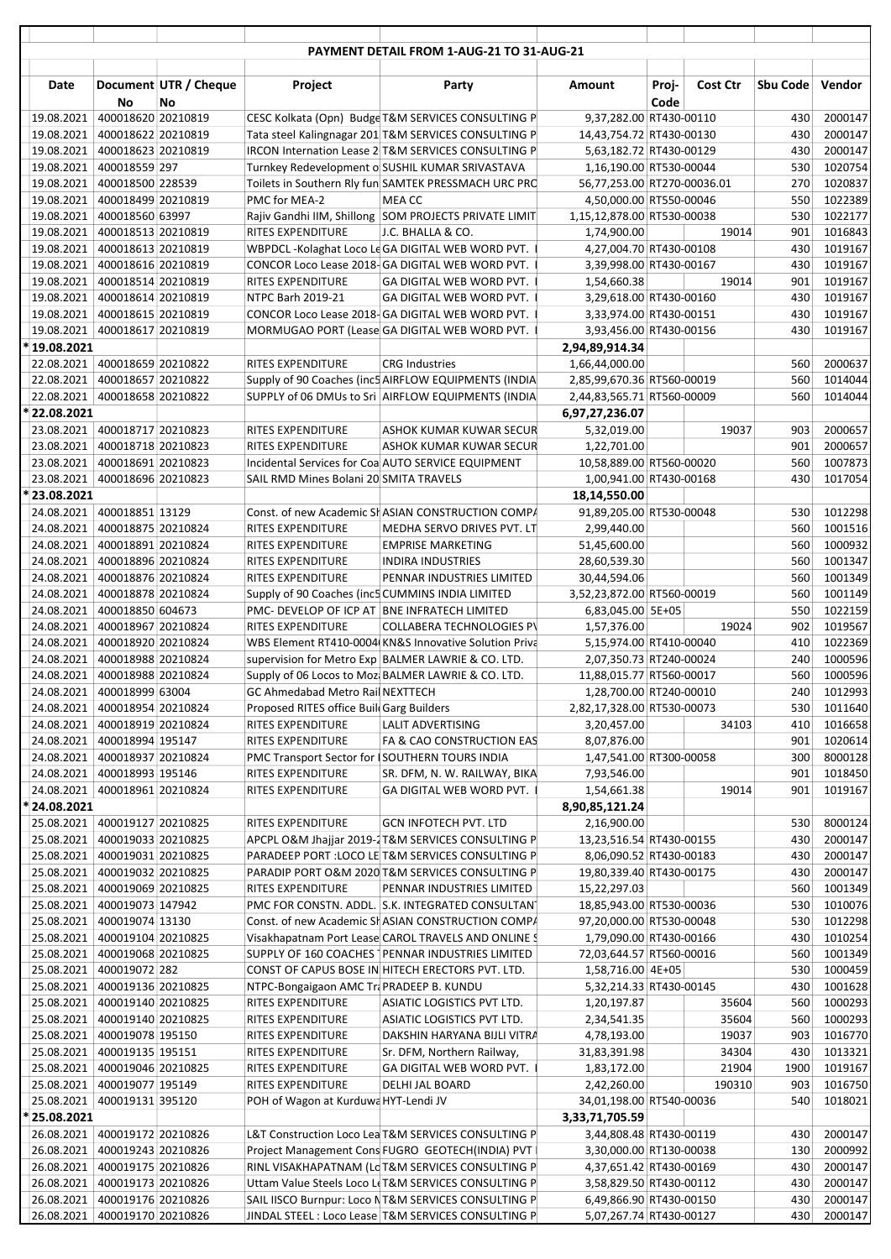|                                             |                    |                             |                                                                       | PAYMENT DETAIL FROM 1-AUG-21 TO 31-AUG-21             |                                            |                             |            |                    |
|---------------------------------------------|--------------------|-----------------------------|-----------------------------------------------------------------------|-------------------------------------------------------|--------------------------------------------|-----------------------------|------------|--------------------|
| Date                                        | <b>No</b>          | Document UTR / Cheque<br>No | Project                                                               | Party                                                 | Amount                                     | Cost Ctr<br>Proj-<br>Code   | Sbu Code   | Vendor             |
| 19.08.2021                                  | 400018620 20210819 |                             |                                                                       | CESC Kolkata (Opn) Budge T&M SERVICES CONSULTING P    |                                            | 9,37,282.00 RT430-00110     | 430        | 2000147            |
| 19.08.2021                                  | 400018622 20210819 |                             |                                                                       | Tata steel Kalingnagar 201 T&M SERVICES CONSULTING P  |                                            | 14,43,754.72 RT430-00130    | 430        | 2000147            |
| 19.08.2021                                  | 400018623 20210819 |                             |                                                                       | IRCON Internation Lease 2 T&M SERVICES CONSULTING P   |                                            | 5,63,182.72 RT430-00129     | 430        | 2000147            |
| 19.08.2021                                  | 400018559 297      |                             |                                                                       | Turnkey Redevelopment o SUSHIL KUMAR SRIVASTAVA       |                                            | 1,16,190.00 RT530-00044     | 530        | 1020754            |
| 19.08.2021                                  | 400018500 228539   |                             |                                                                       | Toilets in Southern Rly fun SAMTEK PRESSMACH URC PRC  |                                            | 56,77,253.00 RT270-00036.01 | 270        | 1020837            |
| 19.08.2021 400018499 20210819               |                    |                             | PMC for MEA-2                                                         | MEA CC                                                |                                            | 4,50,000.00 RT550-00046     | 550        | 1022389            |
| 19.08.2021 400018560 63997                  |                    |                             |                                                                       | Rajiv Gandhi IIM, Shillong SOM PROJECTS PRIVATE LIMIT | 1,15,12,878.00 RT530-00038                 |                             | 530        | 1022177            |
| 19.08.2021                                  | 400018513 20210819 |                             | RITES EXPENDITURE                                                     | J.C. BHALLA & CO.                                     | 1,74,900.00                                | 19014                       | 901        | 1016843            |
| 19.08.2021                                  | 400018613 20210819 |                             |                                                                       | WBPDCL-Kolaghat Loco LeGA DIGITAL WEB WORD PVT.       |                                            | 4,27,004.70 RT430-00108     | 430        | 1019167            |
| 19.08.2021 400018616 20210819               |                    |                             |                                                                       | CONCOR Loco Lease 2018-GA DIGITAL WEB WORD PVT.       |                                            | 3,39,998.00 RT430-00167     | 430        | 1019167            |
| 19.08.2021 400018514 20210819               |                    |                             | RITES EXPENDITURE                                                     | GA DIGITAL WEB WORD PVT.                              | 1,54,660.38                                | 19014                       | 901        | 1019167            |
| 19.08.2021 400018614 20210819               |                    |                             | NTPC Barh 2019-21                                                     | GA DIGITAL WEB WORD PVT.                              |                                            | 3,29,618.00 RT430-00160     | 430        | 1019167            |
| 19.08.2021                                  | 400018615 20210819 |                             |                                                                       | CONCOR Loco Lease 2018-GA DIGITAL WEB WORD PVT.       |                                            | 3,33,974.00 RT430-00151     | 430        | 1019167            |
| 19.08.2021                                  | 400018617 20210819 |                             |                                                                       | MORMUGAO PORT (Lease GA DIGITAL WEB WORD PVT.         |                                            | 3,93,456.00 RT430-00156     | 430        | 1019167            |
| *19.08.2021                                 |                    |                             |                                                                       |                                                       | 2,94,89,914.34                             |                             |            |                    |
| 22.08.2021 400018659 20210822               |                    |                             | <b>RITES EXPENDITURE</b>                                              | <b>CRG Industries</b>                                 | 1,66,44,000.00                             |                             | 560        | 2000637            |
| 22.08.2021 400018657 20210822               |                    |                             |                                                                       | Supply of 90 Coaches (inc5 AIRFLOW EQUIPMENTS (INDIA  | 2,85,99,670.36 RT560-00019                 |                             | 560        | 1014044            |
| 22.08.2021 400018658 20210822               |                    |                             |                                                                       | SUPPLY of 06 DMUs to Sri AIRFLOW EQUIPMENTS (INDIA    | 2,44,83,565.71 RT560-00009                 |                             | 560        | 1014044            |
| * 22.08.2021                                |                    |                             |                                                                       |                                                       | 6,97,27,236.07                             |                             |            |                    |
| 23.08.2021 400018717 20210823               |                    |                             | RITES EXPENDITURE                                                     | ASHOK KUMAR KUWAR SECUR                               | 5,32,019.00                                | 19037                       | 903        | 2000657            |
| 23.08.2021 400018718 20210823               |                    |                             | <b>RITES EXPENDITURE</b>                                              | ASHOK KUMAR KUWAR SECUR                               | 1,22,701.00                                |                             | 901        | 2000657            |
| 23.08.2021 400018691 20210823               |                    |                             |                                                                       | Incidental Services for Coa AUTO SERVICE EQUIPMENT    |                                            | 10,58,889.00 RT560-00020    | 560        | 1007873            |
| 23.08.2021 400018696 20210823               |                    |                             | SAIL RMD Mines Bolani 20 SMITA TRAVELS                                |                                                       |                                            | 1,00,941.00 RT430-00168     | 430        | 1017054            |
| *23.08.2021                                 |                    |                             |                                                                       |                                                       | 18,14,550.00                               |                             |            |                    |
| 24.08.2021 400018851 13129                  |                    |                             |                                                                       | Const. of new Academic SHASIAN CONSTRUCTION COMPA     |                                            | 91,89,205.00 RT530-00048    | 530        | 1012298            |
| 24.08.2021                                  | 400018875 20210824 |                             | RITES EXPENDITURE                                                     | MEDHA SERVO DRIVES PVT. LT                            | 2,99,440.00                                |                             | 560        | 1001516            |
| 24.08.2021                                  | 400018891 20210824 |                             | RITES EXPENDITURE                                                     | <b>EMPRISE MARKETING</b>                              | 51,45,600.00                               |                             | 560        | 1000932            |
| 24.08.2021<br>24.08.2021 400018876 20210824 | 400018896 20210824 |                             | RITES EXPENDITURE                                                     | <b>INDIRA INDUSTRIES</b>                              | 28,60,539.30                               |                             | 560<br>560 | 1001347<br>1001349 |
| 24.08.2021 400018878 20210824               |                    |                             | RITES EXPENDITURE<br>Supply of 90 Coaches (inc5 CUMMINS INDIA LIMITED | PENNAR INDUSTRIES LIMITED                             | 30,44,594.06<br>3,52,23,872.00 RT560-00019 |                             | 560        | 1001149            |
| 24.08.2021                                  | 400018850 604673   |                             | PMC- DEVELOP OF ICP AT BNE INFRATECH LIMITED                          |                                                       | 6,83,045.00 5E+05                          |                             | 550        | 1022159            |
| 24.08.2021                                  | 400018967 20210824 |                             | RITES EXPENDITURE                                                     | <b>COLLABERA TECHNOLOGIES PV</b>                      | 1,57,376.00                                | 19024                       | 902        | 1019567            |
| 24.08.2021 400018920 20210824               |                    |                             |                                                                       | WBS Element RT410-0004 KN&S Innovative Solution Priva |                                            | 5,15,974.00 RT410-00040     | 410        | 1022369            |
| 24.08.2021                                  | 400018988 20210824 |                             |                                                                       | supervision for Metro Exp BALMER LAWRIE & CO. LTD.    |                                            | 2,07,350.73 RT240-00024     | 240        | 1000596            |
| 24.08.2021 400018988 20210824               |                    |                             |                                                                       | Supply of 06 Locos to Mozi BALMER LAWRIE & CO. LTD.   | 11,88,015.77 RT560-00017                   |                             | 560        | 1000596            |
| 24.08.2021 400018999 63004                  |                    |                             | GC Ahmedabad Metro Rail NEXTTECH                                      |                                                       |                                            | 1,28,700.00 RT240-00010     |            | 240 1012993        |
| 24.08.2021 400018954 20210824               |                    |                             | Proposed RITES office BuildGarg Builders                              |                                                       | 2,82,17,328.00 RT530-00073                 |                             | 530        | 1011640            |
| 24.08.2021                                  | 400018919 20210824 |                             | RITES EXPENDITURE                                                     | LALIT ADVERTISING                                     | 3,20,457.00                                | 34103                       | 410        | 1016658            |
| 24.08.2021                                  | 400018994 195147   |                             | RITES EXPENDITURE                                                     | FA & CAO CONSTRUCTION EAS                             | 8,07,876.00                                |                             | 901        | 1020614            |
| 24.08.2021 400018937 20210824               |                    |                             | PMC Transport Sector for ISOUTHERN TOURS INDIA                        |                                                       |                                            | 1,47,541.00 RT300-00058     | 300        | 8000128            |
| 24.08.2021 400018993 195146                 |                    |                             | RITES EXPENDITURE                                                     | SR. DFM, N. W. RAILWAY, BIKA                          | 7,93,546.00                                |                             | 901        | 1018450            |
| 24.08.2021 400018961 20210824               |                    |                             | RITES EXPENDITURE                                                     | GA DIGITAL WEB WORD PVT.                              | 1,54,661.38                                | 19014                       | 901        | 1019167            |
| * 24.08.2021                                |                    |                             |                                                                       |                                                       | 8,90,85,121.24                             |                             |            |                    |
| 25.08.2021 400019127 20210825               |                    |                             | RITES EXPENDITURE                                                     | <b>GCN INFOTECH PVT. LTD</b>                          | 2,16,900.00                                |                             | 530        | 8000124            |
| 25.08.2021                                  | 400019033 20210825 |                             |                                                                       | APCPL O&M Jhajjar 2019-2T&M SERVICES CONSULTING P     |                                            | 13,23,516.54 RT430-00155    | 430        | 2000147            |
| 25.08.2021 400019031 20210825               |                    |                             |                                                                       | PARADEEP PORT : LOCO LE T&M SERVICES CONSULTING P     |                                            | 8,06,090.52 RT430-00183     | 430        | 2000147            |
| 25.08.2021 400019032 20210825               |                    |                             |                                                                       | PARADIP PORT O&M 2020 T&M SERVICES CONSULTING P       |                                            | 19,80,339.40 RT430-00175    | 430        | 2000147            |
| 25.08.2021                                  | 400019069 20210825 |                             | RITES EXPENDITURE                                                     | PENNAR INDUSTRIES LIMITED                             | 15,22,297.03                               |                             | 560        | 1001349            |
| 25.08.2021                                  | 400019073 147942   |                             |                                                                       | PMC FOR CONSTN. ADDL. S.K. INTEGRATED CONSULTANT      |                                            | 18,85,943.00 RT530-00036    | 530        | 1010076            |
| 25.08.2021                                  | 400019074 13130    |                             |                                                                       | Const. of new Academic SHASIAN CONSTRUCTION COMPA     |                                            | 97,20,000.00 RT530-00048    | 530        | 1012298            |
| 25.08.2021                                  | 400019104 20210825 |                             |                                                                       | Visakhapatnam Port Lease CAROL TRAVELS AND ONLINE \$  |                                            | 1,79,090.00 RT430-00166     | 430        | 1010254            |
| 25.08.2021 400019068 20210825               |                    |                             |                                                                       | SUPPLY OF 160 COACHES   PENNAR INDUSTRIES LIMITED     |                                            | 72,03,644.57 RT560-00016    | 560        | 1001349            |
| 25.08.2021 400019072 282                    |                    |                             |                                                                       | CONST OF CAPUS BOSE IN HITECH ERECTORS PVT. LTD.      | 1,58,716.00 4E+05                          |                             | 530        | 1000459            |
| 25.08.2021                                  | 400019136 20210825 |                             | NTPC-Bongaigaon AMC TraPRADEEP B. KUNDU                               |                                                       |                                            | 5,32,214.33 RT430-00145     | 430        | 1001628            |
| 25.08.2021                                  | 400019140 20210825 |                             | RITES EXPENDITURE                                                     | ASIATIC LOGISTICS PVT LTD.                            | 1,20,197.87                                | 35604                       | 560        | 1000293            |
| 25.08.2021                                  | 400019140 20210825 |                             | RITES EXPENDITURE                                                     | ASIATIC LOGISTICS PVT LTD.                            | 2,34,541.35                                | 35604                       | 560        | 1000293            |
| 25.08.2021                                  | 400019078 195150   |                             | RITES EXPENDITURE                                                     | DAKSHIN HARYANA BIJLI VITRA                           | 4,78,193.00                                | 19037                       | 903        | 1016770            |
| 25.08.2021 400019135 195151                 |                    |                             | RITES EXPENDITURE                                                     | Sr. DFM, Northern Railway,                            | 31,83,391.98                               | 34304                       | 430        | 1013321            |
| 25.08.2021                                  | 400019046 20210825 |                             | RITES EXPENDITURE                                                     | GA DIGITAL WEB WORD PVT.                              | 1,83,172.00                                | 21904                       | 1900       | 1019167            |
| 25.08.2021                                  | 400019077 195149   |                             | RITES EXPENDITURE                                                     | DELHI JAL BOARD                                       | 2,42,260.00                                | 190310                      | 903        | 1016750            |
| 25.08.2021 400019131 395120                 |                    |                             | POH of Wagon at Kurduwa HYT-Lendi JV                                  |                                                       |                                            | 34,01,198.00 RT540-00036    | 540        | 1018021            |
| * 25.08.2021                                |                    |                             |                                                                       |                                                       | 3,33,71,705.59                             |                             |            |                    |
| 26.08.2021 400019172 20210826               |                    |                             |                                                                       | L&T Construction Loco Lea T&M SERVICES CONSULTING P   |                                            | 3,44,808.48 RT430-00119     | 430        | 2000147            |
| 26.08.2021 400019243 20210826               |                    |                             |                                                                       | Project Management Cons FUGRO GEOTECH(INDIA) PVT      |                                            | 3,30,000.00 RT130-00038     | 130        | 2000992            |
| 26.08.2021 400019175 20210826               |                    |                             |                                                                       | RINL VISAKHAPATNAM (Lo T&M SERVICES CONSULTING P      |                                            | 4,37,651.42 RT430-00169     | 430        | 2000147            |
| 26.08.2021                                  | 400019173 20210826 |                             |                                                                       | Uttam Value Steels Loco L(T&M SERVICES CONSULTING P   |                                            | 3,58,829.50 RT430-00112     | 430        | 2000147            |
| 26.08.2021                                  | 400019176 20210826 |                             |                                                                       | SAIL IISCO Burnpur: Loco NT&M SERVICES CONSULTING P   |                                            | 6,49,866.90 RT430-00150     | 430        | 2000147            |
| 26.08.2021                                  | 400019170 20210826 |                             |                                                                       | JINDAL STEEL : Loco Lease T&M SERVICES CONSULTING P   |                                            | 5,07,267.74 RT430-00127     | 430        | 2000147            |